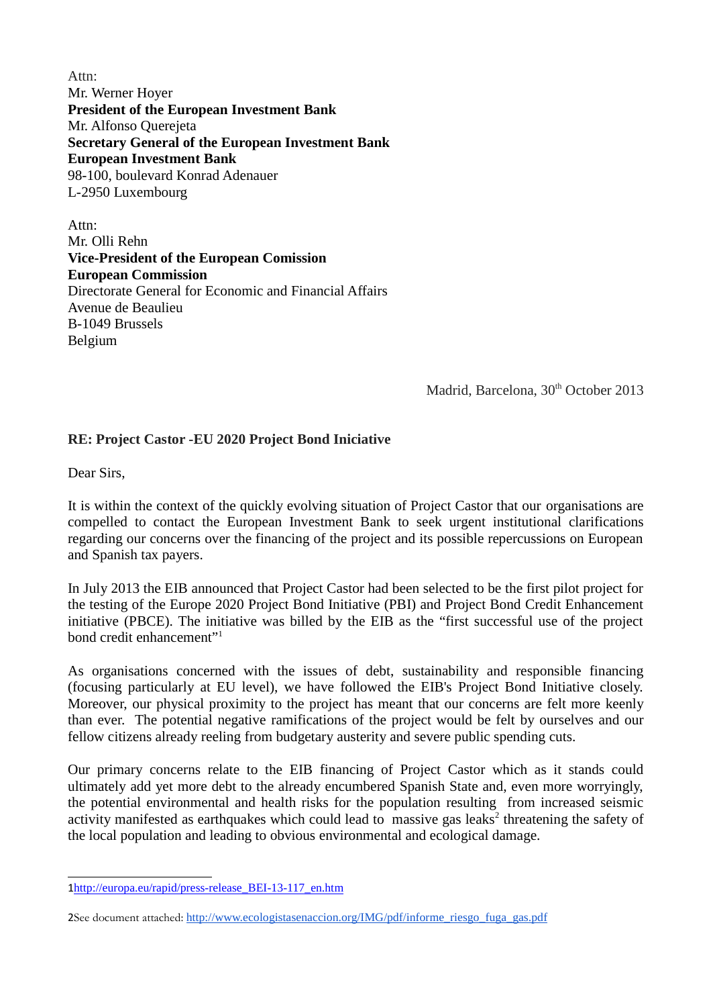Attn: Mr. Werner Hoyer **President of the European Investment Bank** Mr. Alfonso Querejeta **Secretary General of the European Investment Bank European Investment Bank** 98-100, boulevard Konrad Adenauer L-2950 Luxembourg

Attn: Mr. Olli Rehn **Vice-President of the European Comission European Commission** Directorate General for Economic and Financial Affairs Avenue de Beaulieu B-1049 Brussels Belgium

Madrid, Barcelona, 30<sup>th</sup> October 2013

## **RE: Project Castor -EU 2020 Project Bond Iniciative**

Dear Sirs,

It is within the context of the quickly evolving situation of Project Castor that our organisations are compelled to contact the European Investment Bank to seek urgent institutional clarifications regarding our concerns over the financing of the project and its possible repercussions on European and Spanish tax payers.

In July 2013 the EIB announced that Project Castor had been selected to be the first pilot project for the testing of the Europe 2020 Project Bond Initiative (PBI) and Project Bond Credit Enhancement initiative (PBCE). The initiative was billed by the EIB as the "first successful use of the project bond credit enhancement"<sup>1</sup>

As organisations concerned with the issues of debt, sustainability and responsible financing (focusing particularly at EU level), we have followed the EIB's Project Bond Initiative closely. Moreover, our physical proximity to the project has meant that our concerns are felt more keenly than ever. The potential negative ramifications of the project would be felt by ourselves and our fellow citizens already reeling from budgetary austerity and severe public spending cuts.

Our primary concerns relate to the EIB financing of Project Castor which as it stands could ultimately add yet more debt to the already encumbered Spanish State and, even more worryingly, the potential environmental and health risks for the population resulting from increased seismic activity manifested as earthquakes which could lead to massive gas leaks<sup>2</sup> threatening the safety of the local population and leading to obvious environmental and ecological damage.

<sup>1</sup>http://europa.eu/rapid/press-release\_BEI-13-117\_en.htm

<sup>2</sup>See document attached: http://www.ecologistasenaccion.org/IMG/pdf/informe\_riesgo\_fuga\_gas.pdf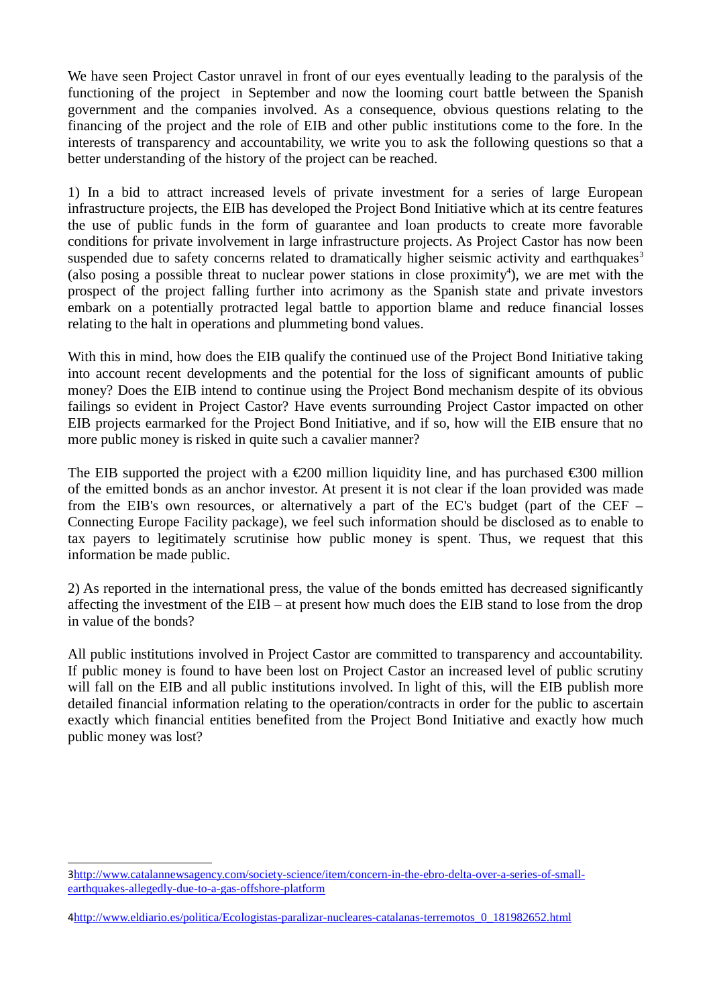We have seen Project Castor unravel in front of our eyes eventually leading to the paralysis of the functioning of the project in September and now the looming court battle between the Spanish government and the companies involved. As a consequence, obvious questions relating to the financing of the project and the role of EIB and other public institutions come to the fore. In the interests of transparency and accountability, we write you to ask the following questions so that a better understanding of the history of the project can be reached.

1) In a bid to attract increased levels of private investment for a series of large European infrastructure projects, the EIB has developed the Project Bond Initiative which at its centre features the use of public funds in the form of guarantee and loan products to create more favorable conditions for private involvement in large infrastructure projects. As Project Castor has now been suspended due to safety concerns related to dramatically higher seismic activity and earthquakes<sup>3</sup> (also posing a possible threat to nuclear power stations in close proximity<sup>4</sup>), we are met with the prospect of the project falling further into acrimony as the Spanish state and private investors embark on a potentially protracted legal battle to apportion blame and reduce financial losses relating to the halt in operations and plummeting bond values.

With this in mind, how does the EIB qualify the continued use of the Project Bond Initiative taking into account recent developments and the potential for the loss of significant amounts of public money? Does the EIB intend to continue using the Project Bond mechanism despite of its obvious failings so evident in Project Castor? Have events surrounding Project Castor impacted on other EIB projects earmarked for the Project Bond Initiative, and if so, how will the EIB ensure that no more public money is risked in quite such a cavalier manner?

The EIB supported the project with a  $\epsilon$ 200 million Iquidity line, and has purchased  $\epsilon$ 300 million of the emitted bonds as an anchor investor. At present it is not clear if the loan provided was made from the EIB's own resources, or alternatively a part of the EC's budget (part of the CEF – Connecting Europe Facility package), we feel such information should be disclosed as to enable to tax payers to legitimately scrutinise how public money is spent. Thus, we request that this information be made public.

2) As reported in the international press, the value of the bonds emitted has decreased significantly affecting the investment of the EIB – at present how much does the EIB stand to lose from the drop in value of the bonds?

All public institutions involved in Project Castor are committed to transparency and accountability. If public money is found to have been lost on Project Castor an increased level of public scrutiny will fall on the EIB and all public institutions involved. In light of this, will the EIB publish more detailed financial information relating to the operation/contracts in order for the public to ascertain exactly which financial entities benefited from the Project Bond Initiative and exactly how much public money was lost?

<sup>3</sup>http://www.catalannewsagency.com/society-science/item/concern-in-the-ebro-delta-over-a-series-of-smallearthquakes-allegedly-due-to-a-gas-offshore-platform

<sup>4</sup>http://www.eldiario.es/politica/Ecologistas-paralizar-nucleares-catalanas-terremotos\_0\_181982652.html